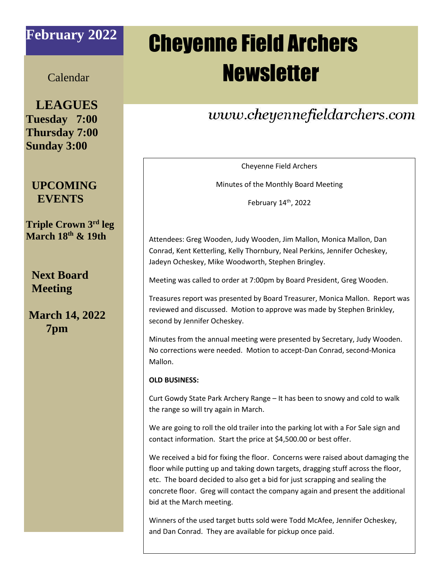## **February 2022**

# Cheyenne Field Archers **Newsletter**

### Calendar

 **LEAGUES Tuesday 7:00 Thursday 7:00 Sunday 3:00**

### **UPCOMING EVENTS**

**Triple Crown 3 rd leg March 18 th & 19th**

 **Next Board Meeting**

**March 14, 2022 7pm**

# www.cheyennefieldarchers.com

Cheyenne Field Archers

Minutes of the Monthly Board Meeting

February 14th, 2022

Attendees: Greg Wooden, Judy Wooden, Jim Mallon, Monica Mallon, Dan Conrad, Kent Ketterling, Kelly Thornbury, Neal Perkins, Jennifer Ocheskey, Jadeyn Ocheskey, Mike Woodworth, Stephen Bringley.

Meeting was called to order at 7:00pm by Board President, Greg Wooden.

Treasures report was presented by Board Treasurer, Monica Mallon. Report was reviewed and discussed. Motion to approve was made by Stephen Brinkley, second by Jennifer Ocheskey.

Minutes from the annual meeting were presented by Secretary, Judy Wooden. No corrections were needed. Motion to accept-Dan Conrad, second-Monica Mallon.

#### **OLD BUSINESS:**

Curt Gowdy State Park Archery Range – It has been to snowy and cold to walk the range so will try again in March.

We are going to roll the old trailer into the parking lot with a For Sale sign and contact information. Start the price at \$4,500.00 or best offer.

We received a bid for fixing the floor. Concerns were raised about damaging the floor while putting up and taking down targets, dragging stuff across the floor, etc. The board decided to also get a bid for just scrapping and sealing the concrete floor. Greg will contact the company again and present the additional bid at the March meeting.

Winners of the used target butts sold were Todd McAfee, Jennifer Ocheskey, and Dan Conrad. They are available for pickup once paid.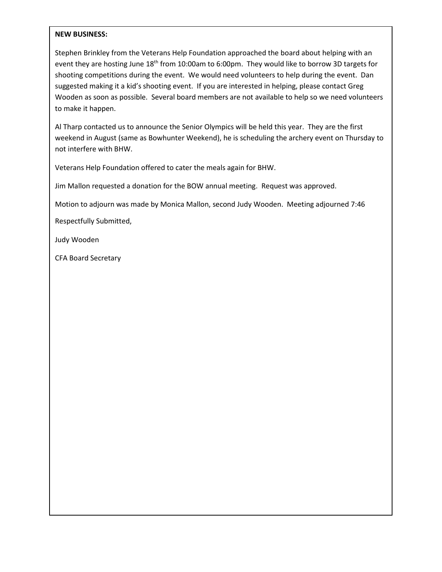#### **NEW BUSINESS:**

Stephen Brinkley from the Veterans Help Foundation approached the board about helping with an event they are hosting June 18<sup>th</sup> from 10:00am to 6:00pm. They would like to borrow 3D targets for shooting competitions during the event. We would need volunteers to help during the event. Dan suggested making it a kid's shooting event. If you are interested in helping, please contact Greg Wooden as soon as possible. Several board members are not available to help so we need volunteers to make it happen.

Al Tharp contacted us to announce the Senior Olympics will be held this year. They are the first weekend in August (same as Bowhunter Weekend), he is scheduling the archery event on Thursday to not interfere with BHW.

Veterans Help Foundation offered to cater the meals again for BHW.

Jim Mallon requested a donation for the BOW annual meeting. Request was approved.

Motion to adjourn was made by Monica Mallon, second Judy Wooden. Meeting adjourned 7:46

Respectfully Submitted,

Judy Wooden

CFA Board Secretary